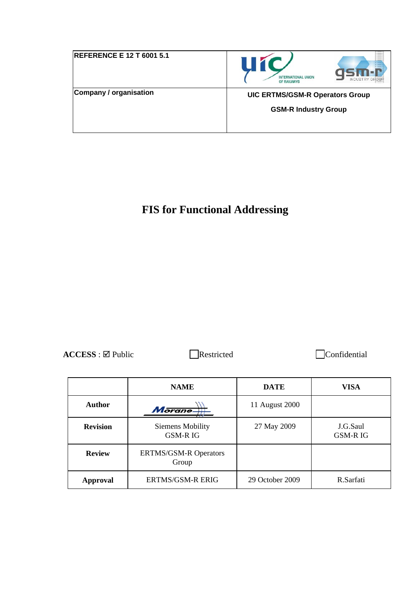| <b>REFERENCE E 12 T 6001 5.1</b> | <b>INTERNATIONAL UNION</b><br><b>INDUSTRY GROU</b><br>OF RAILWAYS |
|----------------------------------|-------------------------------------------------------------------|
| Company / organisation           | <b>UIC ERTMS/GSM-R Operators Group</b>                            |
|                                  | <b>GSM-R Industry Group</b>                                       |
|                                  |                                                                   |

# **FIS for Functional Addressing**

ACCESS : ⊠ Public Restricted Confidential

|                                                        | <b>NAME</b>                        | <b>DATE</b>     | <b>VISA</b>                |
|--------------------------------------------------------|------------------------------------|-----------------|----------------------------|
| <b>Author</b>                                          | Morane-                            | 11 August 2000  |                            |
| <b>Revision</b>                                        | Siemens Mobility<br><b>GSM-RIG</b> | 27 May 2009     | J.G.Saul<br><b>GSM-RIG</b> |
| <b>Review</b><br><b>ERTMS/GSM-R Operators</b><br>Group |                                    |                 |                            |
| Approval                                               | <b>ERTMS/GSM-R ERIG</b>            | 29 October 2009 | R.Sarfati                  |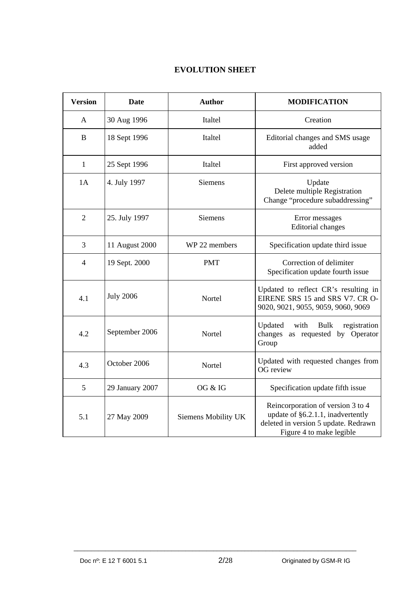### **EVOLUTION SHEET**

| <b>Version</b> | <b>Date</b>      | <b>Author</b>       | <b>MODIFICATION</b>                                                                                                                        |
|----------------|------------------|---------------------|--------------------------------------------------------------------------------------------------------------------------------------------|
| A              | 30 Aug 1996      | Italtel             | Creation                                                                                                                                   |
| $\bf{B}$       | 18 Sept 1996     | Italtel             | Editorial changes and SMS usage<br>added                                                                                                   |
| $\mathbf{1}$   | 25 Sept 1996     | Italtel             | First approved version                                                                                                                     |
| 1A             | 4. July 1997     | <b>Siemens</b>      | Update<br>Delete multiple Registration<br>Change "procedure subaddressing"                                                                 |
| $\overline{2}$ | 25. July 1997    | Siemens             | Error messages<br><b>Editorial</b> changes                                                                                                 |
| 3              | 11 August 2000   | WP 22 members       | Specification update third issue                                                                                                           |
| $\overline{4}$ | 19 Sept. 2000    | <b>PMT</b>          | Correction of delimiter<br>Specification update fourth issue                                                                               |
| 4.1            | <b>July 2006</b> | Nortel              | Updated to reflect CR's resulting in<br>EIRENE SRS 15 and SRS V7. CR O-<br>9020, 9021, 9055, 9059, 9060, 9069                              |
| 4.2            | September 2006   | Nortel              | Updated<br>with<br><b>Bulk</b><br>registration<br>changes<br>as requested by Operator<br>Group                                             |
| 4.3            | October 2006     | Nortel              | Updated with requested changes from<br>OG review                                                                                           |
| 5              | 29 January 2007  | OG & IG             | Specification update fifth issue                                                                                                           |
| 5.1            | 27 May 2009      | Siemens Mobility UK | Reincorporation of version 3 to 4<br>update of §6.2.1.1, inadvertently<br>deleted in version 5 update. Redrawn<br>Figure 4 to make legible |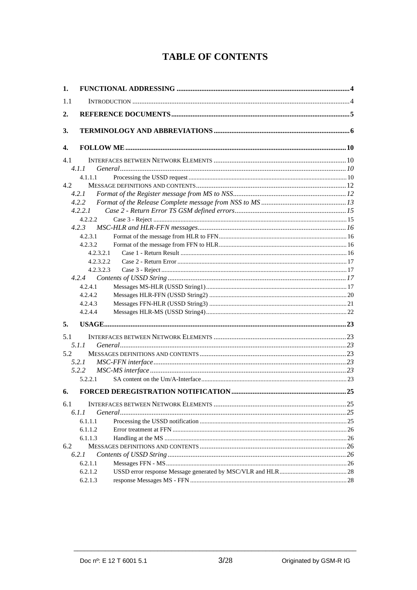## **TABLE OF CONTENTS**

| 1.  |           |  |
|-----|-----------|--|
| 1.1 |           |  |
| 2.  |           |  |
| 3.  |           |  |
| 4.  |           |  |
| 4.1 |           |  |
|     | 4.1.1     |  |
|     | 4.1.1.1   |  |
| 4.2 |           |  |
|     | 4.2.1     |  |
|     | 4.2.2     |  |
|     | 4.2.2.1   |  |
|     | 4.2.2.2   |  |
|     | 4.2.3     |  |
|     | 4.2.3.1   |  |
|     | 4.2.3.2   |  |
|     | 4.2.3.2.1 |  |
|     | 4.2.3.2.2 |  |
|     | 4.2.3.2.3 |  |
|     | 4.2.4.1   |  |
|     | 4.2.4.2   |  |
|     | 4.2.4.3   |  |
|     | 4.2.4.4   |  |
|     |           |  |
| 5.  |           |  |
| 5.1 |           |  |
|     | 5.1.1     |  |
| 5.2 |           |  |
|     | 5.2.1     |  |
|     | 5.2.2     |  |
|     | 5.2.2.1   |  |
| 6.  |           |  |
| 6.1 |           |  |
|     | 6.1.1     |  |
|     | 6.1.1.1   |  |
|     | 6.1.1.2   |  |
|     | 6.1.1.3   |  |
| 6.2 |           |  |
|     | 6.2.1     |  |
|     | 6.2.1.1   |  |
|     | 6.2.1.2   |  |
|     | 6.2.1.3   |  |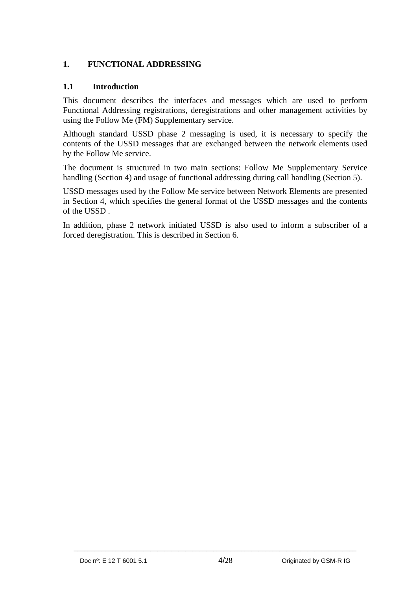### <span id="page-3-0"></span>**1. FUNCTIONAL ADDRESSING**

#### <span id="page-3-1"></span>**1.1 Introduction**

This document describes the interfaces and messages which are used to perform Functional Addressing registrations, deregistrations and other management activities by using the Follow Me (FM) Supplementary service.

Although standard USSD phase 2 messaging is used, it is necessary to specify the contents of the USSD messages that are exchanged between the network elements used by the Follow Me service.

The document is structured in two main sections: Follow Me Supplementary Service handling (Section 4) and usage of functional addressing during call handling (Section 5).

USSD messages used by the Follow Me service between Network Elements are presented in Section 4, which specifies the general format of the USSD messages and the contents of the USSD .

In addition, phase 2 network initiated USSD is also used to inform a subscriber of a forced deregistration. This is described in Section 6.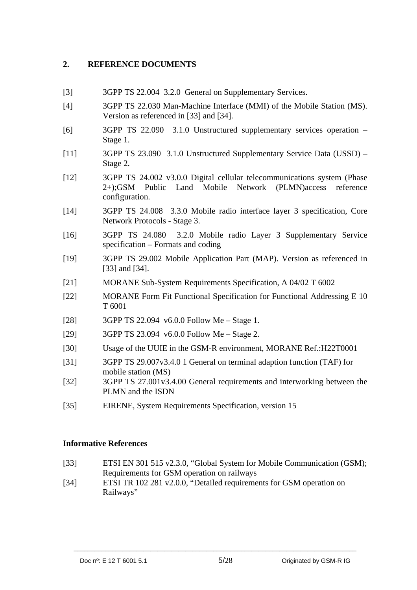### <span id="page-4-0"></span>**2. REFERENCE DOCUMENTS**

- [3] 3GPP TS 22.004 3.2.0 General on Supplementary Services.
- [4] 3GPP TS 22.030 Man-Machine Interface (MMI) of the Mobile Station (MS). Version as referenced in [33] and [34].
- [6] 3GPP TS 22.090 3.1.0 Unstructured supplementary services operation Stage 1.
- [11] 3GPP TS 23.090 3.1.0 Unstructured Supplementary Service Data (USSD) Stage 2.
- [12] 3GPP TS 24.002 v3.0.0 Digital cellular telecommunications system (Phase 2+);GSM Public Land Mobile Network (PLMN)access reference configuration.
- [14] 3GPP TS 24.008 3.3.0 Mobile radio interface layer 3 specification, Core Network Protocols - Stage 3.
- [16] 3GPP TS 24.080 3.2.0 Mobile radio Layer 3 Supplementary Service specification – Formats and coding
- [19] 3GPP TS 29.002 Mobile Application Part (MAP). Version as referenced in [33] and [34].
- [21] MORANE Sub-System Requirements Specification, A 04/02 T 6002
- [22] MORANE Form Fit Functional Specification for Functional Addressing E 10 T 6001
- [28] 3GPP TS 22.094 v6.0.0 Follow Me Stage 1.
- [29] 3GPP TS 23.094 v6.0.0 Follow Me Stage 2.
- [30] Usage of the UUIE in the GSM-R environment, MORANE Ref.:H22T0001
- [31] 3GPP TS 29.007v3.4.0 1 General on terminal adaption function (TAF) for mobile station (MS)
- [32] 3GPP TS 27.001v3.4.00 General requirements and interworking between the PLMN and the ISDN
- [35] EIRENE, System Requirements Specification, version 15

#### **Informative References**

- [33] ETSI EN 301 515 v2.3.0, "Global System for Mobile Communication (GSM); Requirements for GSM operation on railways
- [34] ETSI TR 102 281 v2.0.0, "Detailed requirements for GSM operation on Railways"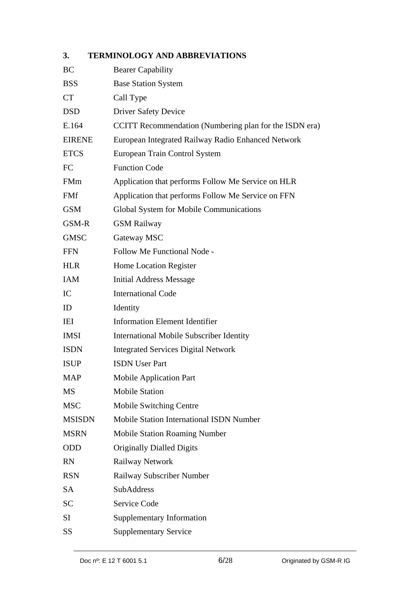### <span id="page-5-0"></span>**3. TERMINOLOGY AND ABBREVIATIONS**

| <b>BC</b>     | <b>Bearer Capability</b>                               |
|---------------|--------------------------------------------------------|
| <b>BSS</b>    | <b>Base Station System</b>                             |
| <b>CT</b>     | Call Type                                              |
| <b>DSD</b>    | <b>Driver Safety Device</b>                            |
| E.164         | CCITT Recommendation (Numbering plan for the ISDN era) |
| <b>EIRENE</b> | European Integrated Railway Radio Enhanced Network     |
| <b>ETCS</b>   | European Train Control System                          |
| FC            | <b>Function Code</b>                                   |
| FMm           | Application that performs Follow Me Service on HLR     |
| <b>FMf</b>    | Application that performs Follow Me Service on FFN     |
| <b>GSM</b>    | Global System for Mobile Communications                |
| GSM-R         | <b>GSM Railway</b>                                     |
| <b>GMSC</b>   | Gateway MSC                                            |
| <b>FFN</b>    | Follow Me Functional Node -                            |
| <b>HLR</b>    | Home Location Register                                 |
| IAM           | <b>Initial Address Message</b>                         |
| IC            | <b>International Code</b>                              |
| ID            | Identity                                               |
| IEI           | <b>Information Element Identifier</b>                  |
| <b>IMSI</b>   | <b>International Mobile Subscriber Identity</b>        |
| <b>ISDN</b>   | <b>Integrated Services Digital Network</b>             |
| <b>ISUP</b>   | <b>ISDN</b> User Part                                  |
| <b>MAP</b>    | <b>Mobile Application Part</b>                         |
| MS            | <b>Mobile Station</b>                                  |
| <b>MSC</b>    | Mobile Switching Centre                                |
| <b>MSISDN</b> | Mobile Station International ISDN Number               |
| <b>MSRN</b>   | <b>Mobile Station Roaming Number</b>                   |
| <b>ODD</b>    | <b>Originally Dialled Digits</b>                       |
| <b>RN</b>     | Railway Network                                        |
| <b>RSN</b>    | Railway Subscriber Number                              |
| <b>SA</b>     | SubAddress                                             |
| <b>SC</b>     | Service Code                                           |
| SI            | <b>Supplementary Information</b>                       |
| SS            | <b>Supplementary Service</b>                           |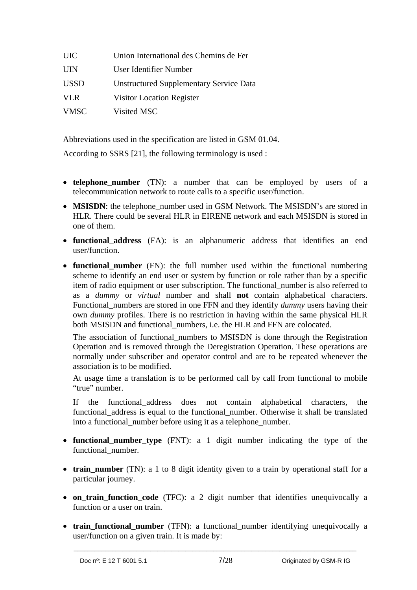| <b>UIC</b>  | Union International des Chemins de Fer         |
|-------------|------------------------------------------------|
| <b>UIN</b>  | User Identifier Number                         |
| <b>USSD</b> | <b>Unstructured Supplementary Service Data</b> |
| <b>VLR</b>  | Visitor Location Register                      |
| <b>VMSC</b> | Visited MSC                                    |

Abbreviations used in the specification are listed in GSM 01.04.

According to SSRS [21], the following terminology is used :

- **telephone\_number** (TN): a number that can be employed by users of a telecommunication network to route calls to a specific user/function.
- MSISDN: the telephone number used in GSM Network. The MSISDN's are stored in HLR. There could be several HLR in EIRENE network and each MSISDN is stored in one of them.
- **functional\_address** (FA): is an alphanumeric address that identifies an end user/function.
- **functional number** (FN): the full number used within the functional numbering scheme to identify an end user or system by function or role rather than by a specific item of radio equipment or user subscription. The functional\_number is also referred to as a *dummy* or *virtual* number and shall **not** contain alphabetical characters. Functional\_numbers are stored in one FFN and they identify *dummy* users having their own *dummy* profiles. There is no restriction in having within the same physical HLR both MSISDN and functional numbers, i.e. the HLR and FFN are colocated.

The association of functional\_numbers to MSISDN is done through the Registration Operation and is removed through the Deregistration Operation. These operations are normally under subscriber and operator control and are to be repeated whenever the association is to be modified.

At usage time a translation is to be performed call by call from functional to mobile "true" number.

If the functional\_address does not contain alphabetical characters, the functional\_address is equal to the functional\_number. Otherwise it shall be translated into a functional\_number before using it as a telephone\_number.

- **functional\_number\_type** (FNT): a 1 digit number indicating the type of the functional\_number.
- **train\_number** (TN): a 1 to 8 digit identity given to a train by operational staff for a particular journey.
- on train function code (TFC): a 2 digit number that identifies unequivocally a function or a user on train.
- **train functional number** (TFN): a functional number identifying unequivocally a user/function on a given train. It is made by: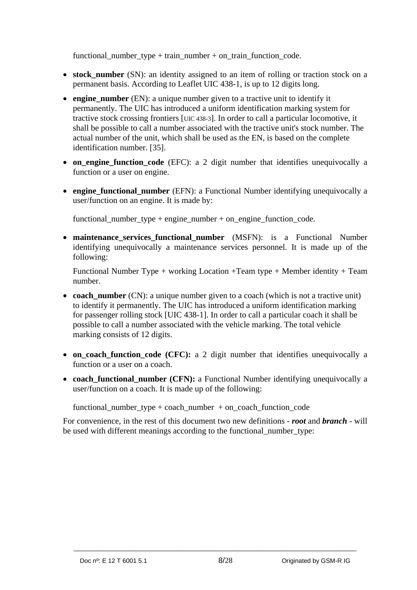functional\_number\_type + train\_number + on\_train\_function\_code.

- stock number (SN): an identity assigned to an item of rolling or traction stock on a permanent basis. According to Leaflet UIC 438-1, is up to 12 digits long.
- **engine\_number** (EN): a unique number given to a tractive unit to identify it permanently. The UIC has introduced a uniform identification marking system for tractive stock crossing frontiers [UIC 438-3]. In order to call a particular locomotive, it shall be possible to call a number associated with the tractive unit's stock number. The actual number of the unit, which shall be used as the EN, is based on the complete identification number. [35].
- **on\_engine\_function\_code** (EFC): a 2 digit number that identifies unequivocally a function or a user on engine.
- **engine functional number** (EFN): a Functional Number identifying unequivocally a user/function on an engine. It is made by:

functional number type + engine number + on engine function code.

**• maintenance services functional number** (MSFN): is a Functional Number identifying unequivocally a maintenance services personnel. It is made up of the following:

Functional Number Type + working Location +Team type + Member identity + Team number.

- **coach** number (CN): a unique number given to a coach (which is not a tractive unit) to identify it permanently. The UIC has introduced a uniform identification marking for passenger rolling stock [UIC 438-1]. In order to call a particular coach it shall be possible to call a number associated with the vehicle marking. The total vehicle marking consists of 12 digits.
- **on\_coach\_function\_code (CFC):** a 2 digit number that identifies unequivocally a function or a user on a coach.
- **coach\_functional\_number (CFN):** a Functional Number identifying unequivocally a user/function on a coach. It is made up of the following:

functional number type + coach number + on coach function code

For convenience, in the rest of this document two new definitions - *root* and *branch* - will be used with different meanings according to the functional\_number\_type: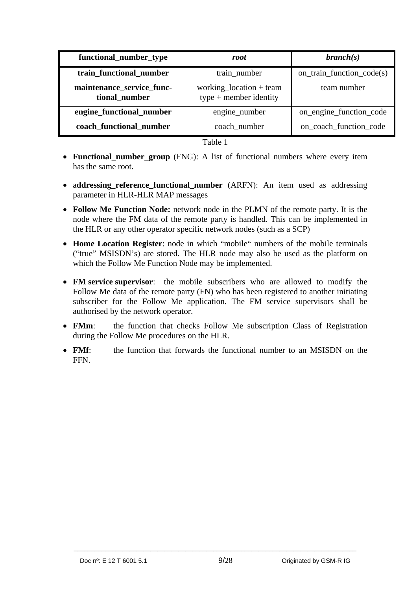| functional_number_type                     | root                                                | branch(s)                 |
|--------------------------------------------|-----------------------------------------------------|---------------------------|
| train_functional_number                    | train_number                                        | on_train_function_code(s) |
| maintenance_service_func-<br>tional_number | working_location + team<br>$type + member$ identity | team number               |
| engine_functional_number                   | engine_number                                       | on_engine_function_code   |
| coach_functional_number                    | coach number                                        | on_coach_function_code    |

Table 1

- **Functional number group** (FNG): A list of functional numbers where every item has the same root.
- a**ddressing\_reference\_functional\_number** (ARFN): An item used as addressing parameter in HLR-HLR MAP messages
- **Follow Me Function Node:** network node in the PLMN of the remote party. It is the node where the FM data of the remote party is handled. This can be implemented in the HLR or any other operator specific network nodes (such as a SCP)
- **Home Location Register**: node in which "mobile" numbers of the mobile terminals ("true" MSISDN's) are stored. The HLR node may also be used as the platform on which the Follow Me Function Node may be implemented.
- **FM service supervisor**: the mobile subscribers who are allowed to modify the Follow Me data of the remote party (FN) who has been registered to another initiating subscriber for the Follow Me application. The FM service supervisors shall be authorised by the network operator.
- **FMm**: the function that checks Follow Me subscription Class of Registration during the Follow Me procedures on the HLR.
- **FMf**: the function that forwards the functional number to an MSISDN on the FFN.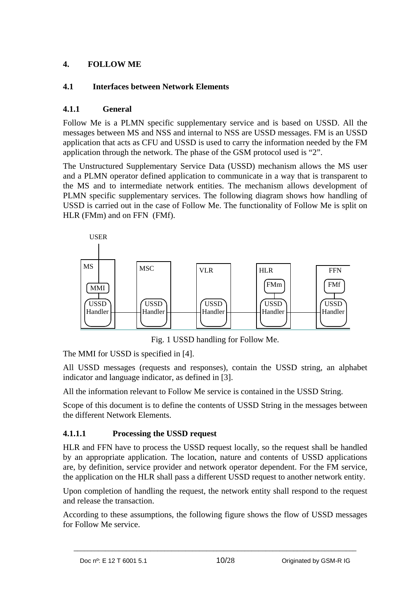### <span id="page-9-0"></span>**4. FOLLOW ME**

### <span id="page-9-1"></span>**4.1 Interfaces between Network Elements**

### <span id="page-9-2"></span>**4.1.1 General**

Follow Me is a PLMN specific supplementary service and is based on USSD. All the messages between MS and NSS and internal to NSS are USSD messages. FM is an USSD application that acts as CFU and USSD is used to carry the information needed by the FM application through the network. The phase of the GSM protocol used is "2".

The Unstructured Supplementary Service Data (USSD) mechanism allows the MS user and a PLMN operator defined application to communicate in a way that is transparent to the MS and to intermediate network entities. The mechanism allows development of PLMN specific supplementary services. The following diagram shows how handling of USSD is carried out in the case of Follow Me. The functionality of Follow Me is split on HLR (FMm) and on FFN (FMf).



Fig. 1 USSD handling for Follow Me.

The MMI for USSD is specified in [4].

All USSD messages (requests and responses), contain the USSD string, an alphabet indicator and language indicator, as defined in [3].

All the information relevant to Follow Me service is contained in the USSD String.

Scope of this document is to define the contents of USSD String in the messages between the different Network Elements.

### <span id="page-9-3"></span>**4.1.1.1 Processing the USSD request**

HLR and FFN have to process the USSD request locally, so the request shall be handled by an appropriate application. The location, nature and contents of USSD applications are, by definition, service provider and network operator dependent. For the FM service, the application on the HLR shall pass a different USSD request to another network entity.

Upon completion of handling the request, the network entity shall respond to the request and release the transaction.

According to these assumptions, the following figure shows the flow of USSD messages for Follow Me service.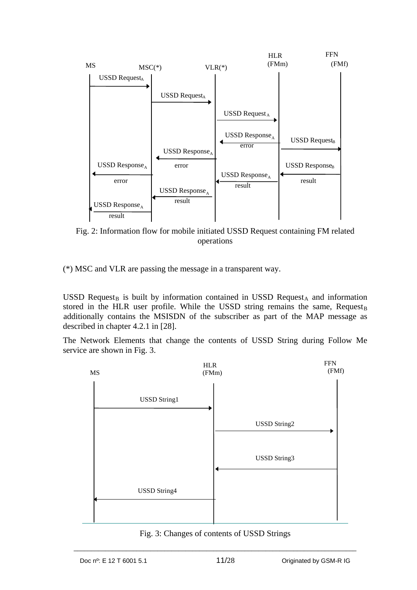

Fig. 2: Information flow for mobile initiated USSD Request containing FM related operations

(\*) MSC and VLR are passing the message in a transparent way.

USSD Request<sub>B</sub> is built by information contained in USSD Request<sub>A</sub> and information stored in the HLR user profile. While the USSD string remains the same, Request<sub>B</sub> additionally contains the MSISDN of the subscriber as part of the MAP message as described in chapter 4.2.1 in [28].

The Network Elements that change the contents of USSD String during Follow Me service are shown in Fig. 3.



Fig. 3: Changes of contents of USSD Strings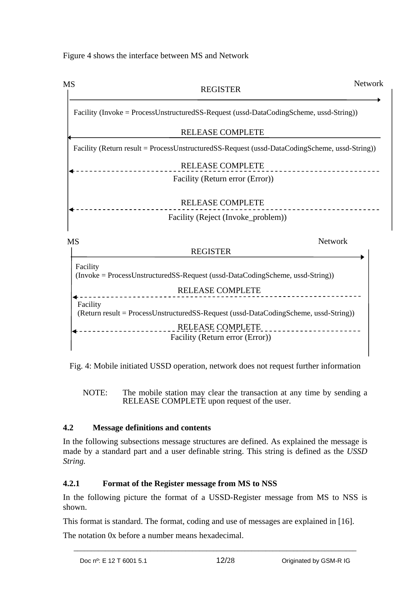Figure 4 shows the interface between MS and Network



Fig. 4: Mobile initiated USSD operation, network does not request further information

NOTE: The mobile station may clear the transaction at any time by sending a RELEASE COMPLETE upon request of the user.

### <span id="page-11-0"></span>**4.2 Message definitions and contents**

In the following subsections message structures are defined. As explained the message is made by a standard part and a user definable string. This string is defined as the *USSD String.* 

### <span id="page-11-1"></span>**4.2.1 Format of the Register message from MS to NSS**

In the following picture the format of a USSD-Register message from MS to NSS is shown.

\_\_\_\_\_\_\_\_\_\_\_\_\_\_\_\_\_\_\_\_\_\_\_\_\_\_\_\_\_\_\_\_\_\_\_\_\_\_\_\_\_\_\_\_\_\_\_\_\_\_\_\_\_\_\_\_\_\_\_\_\_\_\_\_\_\_\_\_\_\_\_\_\_\_\_\_\_\_\_\_\_

This format is standard. The format, coding and use of messages are explained in [16].

The notation 0x before a number means hexadecimal.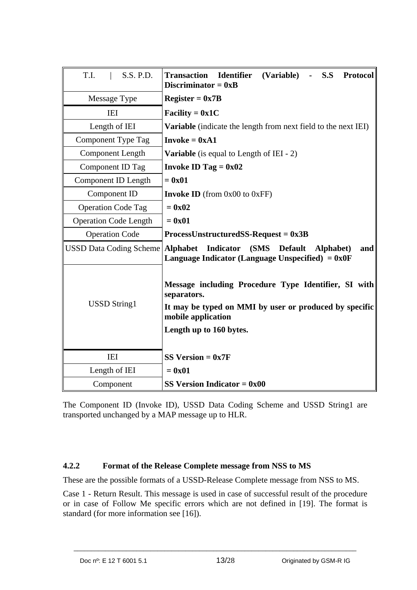| T.I.<br>S.S. P.D.            | Identifier (Variable) - S.S<br><b>Transaction</b><br><b>Protocol</b><br>Discriminator = $0xB$                                                                                  |
|------------------------------|--------------------------------------------------------------------------------------------------------------------------------------------------------------------------------|
| Message Type                 | $ Register = 0x7B$                                                                                                                                                             |
| IEI                          | Facility = $0x1C$                                                                                                                                                              |
| Length of IEI                | Variable (indicate the length from next field to the next IEI)                                                                                                                 |
| Component Type Tag           | $Invoke = 0xA1$                                                                                                                                                                |
| <b>Component Length</b>      | <b>Variable</b> (is equal to Length of IEI - 2)                                                                                                                                |
| Component ID Tag             | Invoke ID Tag = $0x02$                                                                                                                                                         |
| Component ID Length          | $= 0x01$                                                                                                                                                                       |
| Component ID                 | <b>Invoke ID</b> (from $0x00$ to $0xFF$ )                                                                                                                                      |
| <b>Operation Code Tag</b>    | $= 0x02$                                                                                                                                                                       |
| <b>Operation Code Length</b> | $= 0x01$                                                                                                                                                                       |
| <b>Operation Code</b>        | $ProcessUnstructuredSS-Request = 0x3B$                                                                                                                                         |
|                              | USSD Data Coding Scheme   Alphabet Indicator (SMS Default<br>Alphabet)<br>and<br>Language Indicator (Language Unspecified) $= 0x0F$                                            |
| <b>USSD</b> String1          | Message including Procedure Type Identifier, SI with<br>separators.<br>It may be typed on MMI by user or produced by specific<br>mobile application<br>Length up to 160 bytes. |
| IEI                          | $SS Version = 0x7F$                                                                                                                                                            |
| Length of IEI                | $= 0x01$                                                                                                                                                                       |
| Component                    | SS Version Indicator $= 0x00$                                                                                                                                                  |

The Component ID (Invoke ID), USSD Data Coding Scheme and USSD String1 are transported unchanged by a MAP message up to HLR.

#### <span id="page-12-0"></span>**4.2.2 Format of the Release Complete message from NSS to MS**

These are the possible formats of a USSD-Release Complete message from NSS to MS.

Case 1 - Return Result. This message is used in case of successful result of the procedure or in case of Follow Me specific errors which are not defined in [19]. The format is standard (for more information see [16]).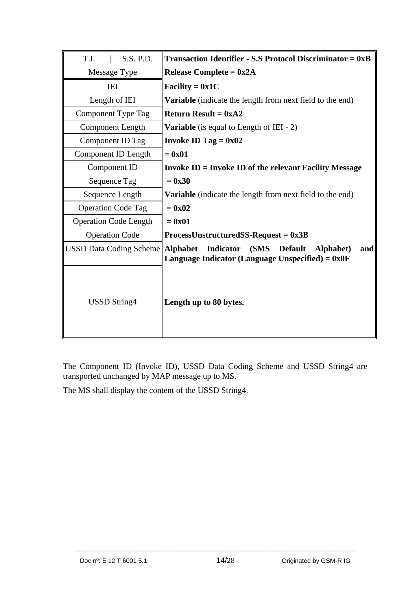| T.I.<br>S.S. P.D.                         | <b>Transaction Identifier - S.S Protocol Discriminator = <math>0xB</math></b>                                        |
|-------------------------------------------|----------------------------------------------------------------------------------------------------------------------|
| Message Type                              | Release Complete = $0x2A$                                                                                            |
| <b>IEI</b>                                | Facility = $0x1C$                                                                                                    |
| Length of IEI                             | Variable (indicate the length from next field to the end)                                                            |
| Component Type Tag                        | <b>Return Result = <math>0xA2</math></b>                                                                             |
| <b>Component Length</b>                   | <b>Variable</b> (is equal to Length of IEI - 2)                                                                      |
| Component ID Tag                          | Invoke ID Tag = $0x02$                                                                                               |
| Component ID Length                       | $= 0x01$                                                                                                             |
| Component ID                              | <b>Invoke ID = Invoke ID of the relevant Facility Message</b>                                                        |
| Sequence Tag                              | $= 0x30$                                                                                                             |
| Sequence Length                           | <b>Variable</b> (indicate the length from next field to the end)                                                     |
| <b>Operation Code Tag</b>                 | $= 0x02$                                                                                                             |
| <b>Operation Code Length</b>              | $= 0x01$                                                                                                             |
| <b>Operation Code</b>                     | $ProcessUnstructuredSS-Request = 0x3B$                                                                               |
| <b>USSD Data Coding Scheme   Alphabet</b> | <b>Indicator</b><br>(SMS<br><b>Default</b><br>Alphabet)<br>and<br>Language Indicator (Language Unspecified) = $0x0F$ |
| USSD String4                              | Length up to 80 bytes.                                                                                               |

The Component ID (Invoke ID), USSD Data Coding Scheme and USSD String4 are transported unchanged by MAP message up to MS.

The MS shall display the content of the USSD String4.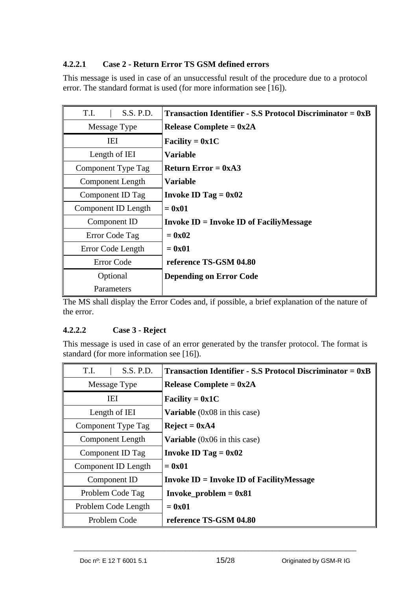### <span id="page-14-0"></span>**4.2.2.1 Case 2 - Return Error TS GSM defined errors**

This message is used in case of an unsuccessful result of the procedure due to a protocol error. The standard format is used (for more information see [16]).

| T.I.<br>S.S. P.D.       | <b>Transaction Identifier - S.S Protocol Discriminator = <math>0xB</math></b> |
|-------------------------|-------------------------------------------------------------------------------|
| Message Type            | Release Complete = $0x2A$                                                     |
| IEI                     | Facility = $0x1C$                                                             |
| Length of IEI           | <b>Variable</b>                                                               |
| Component Type Tag      | Return Error = $0xA3$                                                         |
| <b>Component Length</b> | <b>Variable</b>                                                               |
| Component ID Tag        | Invoke ID Tag $= 0x02$                                                        |
| Component ID Length     | $=0x01$                                                                       |
| Component ID            | $ Invoke ID = Invoke ID of FacilityMessage$                                   |
| Error Code Tag          | $=0x02$                                                                       |
| Error Code Length       | $=0x01$                                                                       |
| Error Code              | reference TS-GSM 04.80                                                        |
| Optional                | <b>Depending on Error Code</b>                                                |
| Parameters              |                                                                               |

The MS shall display the Error Codes and, if possible, a brief explanation of the nature of the error.

### <span id="page-14-1"></span>**4.2.2.2 Case 3 - Reject**

This message is used in case of an error generated by the transfer protocol. The format is standard (for more information see [16]).

| S.S. P.D.<br>T.I.   | <b>Transaction Identifier - S.S Protocol Discriminator = <math>0xB</math></b> |
|---------------------|-------------------------------------------------------------------------------|
| Message Type        | Release Complete = $0x2A$                                                     |
| <b>IEI</b>          | Facility = $0x1C$                                                             |
| Length of IEI       | <b>Variable</b> $(0x08)$ in this case)                                        |
| Component Type Tag  | $Reject = 0xA4$                                                               |
| Component Length    | <b>Variable</b> $(0x06)$ in this case)                                        |
| Component ID Tag    | Invoke ID Tag $= 0x02$                                                        |
| Component ID Length | $= 0x01$                                                                      |
| Component ID        | $ Invoke ID = Invoke ID of FacilityMessage$                                   |
| Problem Code Tag    | Invoke_problem = $0x81$                                                       |
| Problem Code Length | $= 0x01$                                                                      |
| Problem Code        | reference TS-GSM 04.80                                                        |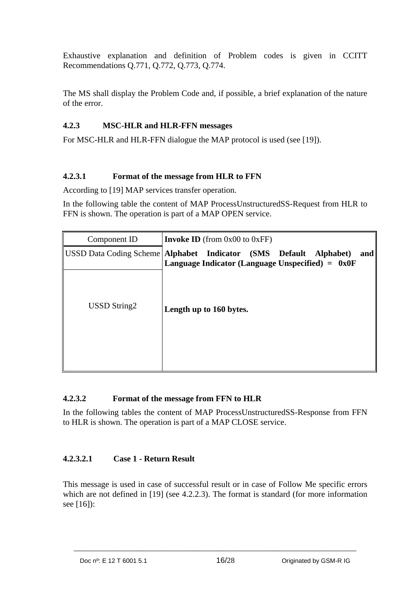Exhaustive explanation and definition of Problem codes is given in CCITT Recommendations Q.771, Q.772, Q.773, Q.774.

The MS shall display the Problem Code and, if possible, a brief explanation of the nature of the error.

### <span id="page-15-0"></span>**4.2.3 MSC-HLR and HLR-FFN messages**

For MSC-HLR and HLR-FFN dialogue the MAP protocol is used (see [19]).

#### <span id="page-15-1"></span>**4.2.3.1 Format of the message from HLR to FFN**

According to [19] MAP services transfer operation.

In the following table the content of MAP ProcessUnstructuredSS-Request from HLR to FFN is shown. The operation is part of a MAP OPEN service.

| Component ID | <b>Invoke ID</b> (from $0x00$ to $0xFF$ )                                                                                      |
|--------------|--------------------------------------------------------------------------------------------------------------------------------|
|              | USSD Data Coding Scheme Alphabet Indicator (SMS Default Alphabet)<br>and<br>Language Indicator (Language Unspecified) = $0x0F$ |
| USSD String2 | Length up to 160 bytes.                                                                                                        |

#### <span id="page-15-2"></span>**4.2.3.2 Format of the message from FFN to HLR**

In the following tables the content of MAP ProcessUnstructuredSS-Response from FFN to HLR is shown. The operation is part of a MAP CLOSE service.

#### <span id="page-15-3"></span>**4.2.3.2.1 Case 1 - Return Result**

This message is used in case of successful result or in case of Follow Me specific errors which are not defined in [19] (see 4.2.2.3). The format is standard (for more information see [16]):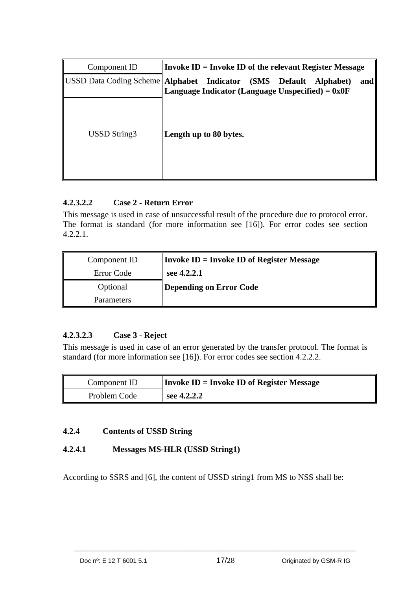| Component ID | Invoke $ID = Invoke ID$ of the relevant Register Message                                                                         |
|--------------|----------------------------------------------------------------------------------------------------------------------------------|
|              | USSD Data Coding Scheme   Alphabet Indicator (SMS Default Alphabet)<br>and<br>Language Indicator (Language Unspecified) = $0x0F$ |
| USSD String3 | Length up to 80 bytes.                                                                                                           |

### <span id="page-16-0"></span>**4.2.3.2.2 Case 2 - Return Error**

This message is used in case of unsuccessful result of the procedure due to protocol error. The format is standard (for more information see [16]). For error codes see section 4.2.2.1.

| Component ID | Invoke $ID = Invoke ID$ of Register Message |
|--------------|---------------------------------------------|
| Error Code   | see 4.2.2.1                                 |
| Optional     | Depending on Error Code                     |
| Parameters   |                                             |

### <span id="page-16-1"></span>**4.2.3.2.3 Case 3 - Reject**

This message is used in case of an error generated by the transfer protocol. The format is standard (for more information see [16]). For error codes see section 4.2.2.2.

| Component ID | $ $ Invoke ID = Invoke ID of Register Message |
|--------------|-----------------------------------------------|
| Problem Code | see 4.2.2.2                                   |

#### <span id="page-16-2"></span>**4.2.4 Contents of USSD String**

### <span id="page-16-3"></span>**4.2.4.1 Messages MS-HLR (USSD String1)**

According to SSRS and [6], the content of USSD string1 from MS to NSS shall be: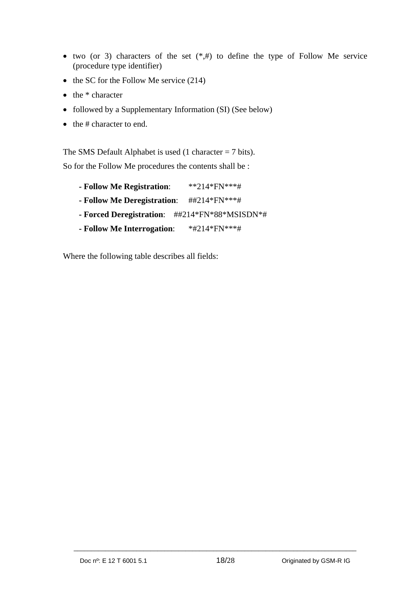- two (or 3) characters of the set  $(*,*)$  to define the type of Follow Me service (procedure type identifier)
- $\bullet$  the SC for the Follow Me service (214)
- $\bullet$  the  $*$  character
- followed by a Supplementary Information (SI) (See below)
- $\bullet$  the # character to end.

The SMS Default Alphabet is used  $(1 \text{ character} = 7 \text{ bits}).$ So for the Follow Me procedures the contents shall be :

- **Follow Me Registration**: \*\*214\*FN\*\*\*#
- **Follow Me Deregistration**: ##214\*FN\*\*\*#
- **Forced Deregistration**: ##214\*FN\*88\*MSISDN\*#
- **Follow Me Interrogation**: \*#214\*FN\*\*\*#

Where the following table describes all fields: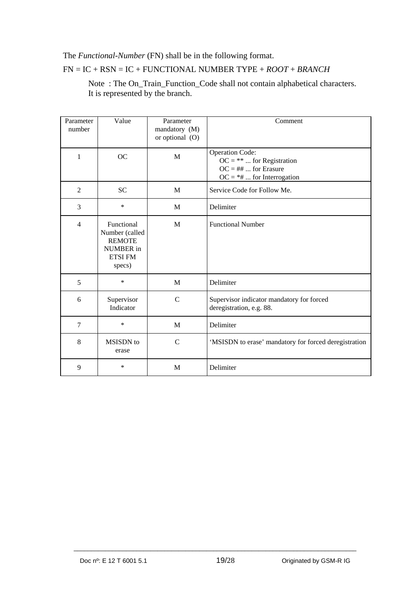### The *Functional-Number* (FN) shall be in the following format.

#### FN = IC + RSN = IC + FUNCTIONAL NUMBER TYPE + *ROOT* + *BRANCH*

 Note : The On\_Train\_Function\_Code shall not contain alphabetical characters. It is represented by the branch.

| Parameter<br>number | Value                                                                                  | Parameter<br>mandatory (M)<br>or optional $(O)$ | Comment                                                                                                              |
|---------------------|----------------------------------------------------------------------------------------|-------------------------------------------------|----------------------------------------------------------------------------------------------------------------------|
| 1                   | <b>OC</b>                                                                              | M                                               | <b>Operation Code:</b><br>$OC = ** \dots$ for Registration<br>$OC = \#H$ for Erasure<br>$OC = *# $ for Interrogation |
| 2                   | <b>SC</b>                                                                              | M                                               | Service Code for Follow Me.                                                                                          |
| 3                   | $\ast$                                                                                 | M                                               | Delimiter                                                                                                            |
| $\overline{4}$      | Functional<br>Number (called<br><b>REMOTE</b><br>NUMBER in<br><b>ETSI FM</b><br>specs) | M                                               | <b>Functional Number</b>                                                                                             |
| 5                   | $\ast$                                                                                 | M                                               | Delimiter                                                                                                            |
| 6                   | Supervisor<br>Indicator                                                                | $\mathcal{C}$                                   | Supervisor indicator mandatory for forced<br>deregistration, e.g. 88.                                                |
| $\overline{7}$      | $\ast$                                                                                 | M                                               | Delimiter                                                                                                            |
| 8                   | MSISDN to<br>erase                                                                     | $\mathsf{C}$                                    | 'MSISDN to erase' mandatory for forced deregistration                                                                |
| 9                   | $\ast$                                                                                 | M                                               | Delimiter                                                                                                            |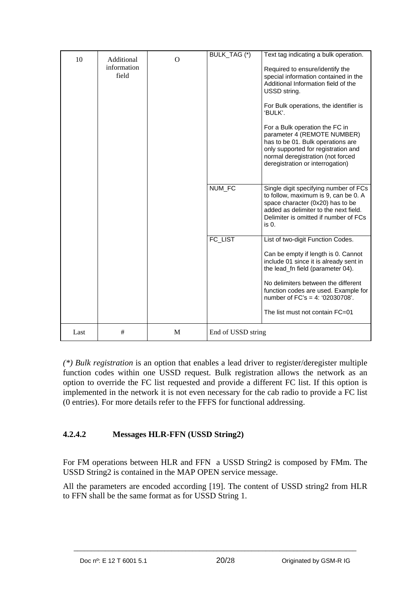| 10   | Additional<br>information<br>field | $\Omega$ | BULK_TAG (*)       | Text tag indicating a bulk operation.<br>Required to ensure/identify the<br>special information contained in the<br>Additional Information field of the<br>USSD string.<br>For Bulk operations, the identifier is<br>'BULK'.<br>For a Bulk operation the FC in<br>parameter 4 (REMOTE NUMBER)<br>has to be 01. Bulk operations are<br>only supported for registration and<br>normal deregistration (not forced<br>deregistration or interrogation) |
|------|------------------------------------|----------|--------------------|----------------------------------------------------------------------------------------------------------------------------------------------------------------------------------------------------------------------------------------------------------------------------------------------------------------------------------------------------------------------------------------------------------------------------------------------------|
|      |                                    |          | NUM_FC             | Single digit specifying number of FCs<br>to follow, maximum is 9, can be 0. A<br>space character (0x20) has to be<br>added as delimiter to the next field.<br>Delimiter is omitted if number of FCs<br>is 0.                                                                                                                                                                                                                                       |
|      |                                    |          | FC_LIST            | List of two-digit Function Codes.<br>Can be empty if length is 0. Cannot<br>include 01 since it is already sent in<br>the lead_fn field (parameter 04).<br>No delimiters between the different<br>function codes are used. Example for<br>number of $FC's = 4$ : '02030708'.<br>The list must not contain FC=01                                                                                                                                    |
| Last | #                                  | M        | End of USSD string |                                                                                                                                                                                                                                                                                                                                                                                                                                                    |

*(\*) Bulk registration* is an option that enables a lead driver to register/deregister multiple function codes within one USSD request. Bulk registration allows the network as an option to override the FC list requested and provide a different FC list. If this option is implemented in the network it is not even necessary for the cab radio to provide a FC list (0 entries). For more details refer to the FFFS for functional addressing.

### <span id="page-19-0"></span>**4.2.4.2 Messages HLR-FFN (USSD String2)**

For FM operations between HLR and FFN a USSD String2 is composed by FMm. The USSD String2 is contained in the MAP OPEN service message.

All the parameters are encoded according [19]. The content of USSD string2 from HLR to FFN shall be the same format as for USSD String 1.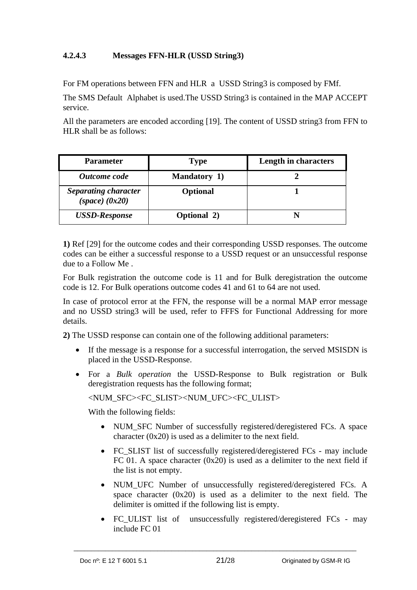### <span id="page-20-0"></span>**4.2.4.3 Messages FFN-HLR (USSD String3)**

For FM operations between FFN and HLR a USSD String3 is composed by FMf.

The SMS Default Alphabet is used.The USSD String3 is contained in the MAP ACCEPT service.

All the parameters are encoded according [19]. The content of USSD string3 from FFN to HLR shall be as follows:

| <b>Parameter</b>                                  | <b>Type</b>         | Length in characters |
|---------------------------------------------------|---------------------|----------------------|
| Outcome code                                      | <b>Mandatory 1)</b> |                      |
| <b>Separating character</b><br>$(space)$ $(0x20)$ | <b>Optional</b>     |                      |
| <b>USSD-Response</b>                              | <b>Optional 2)</b>  |                      |

**1)** Ref [29] for the outcome codes and their corresponding USSD responses. The outcome codes can be either a successful response to a USSD request or an unsuccessful response due to a Follow Me .

For Bulk registration the outcome code is 11 and for Bulk deregistration the outcome code is 12. For Bulk operations outcome codes 41 and 61 to 64 are not used.

In case of protocol error at the FFN, the response will be a normal MAP error message and no USSD string3 will be used, refer to FFFS for Functional Addressing for more details.

**2)** The USSD response can contain one of the following additional parameters:

- If the message is a response for a successful interrogation, the served MSISDN is placed in the USSD-Response.
- For a *Bulk operation* the USSD-Response to Bulk registration or Bulk deregistration requests has the following format;

<NUM\_SFC><FC\_SLIST><NUM\_UFC><FC\_ULIST>

With the following fields:

- NUM SFC Number of successfully registered/deregistered FCs. A space character (0x20) is used as a delimiter to the next field.
- FC SLIST list of successfully registered/deregistered FCs may include FC 01. A space character  $(0x20)$  is used as a delimiter to the next field if the list is not empty.
- NUM\_UFC Number of unsuccessfully registered/deregistered FCs. A space character (0x20) is used as a delimiter to the next field. The delimiter is omitted if the following list is empty.
- FC ULIST list of unsuccessfully registered/deregistered FCs may include FC 01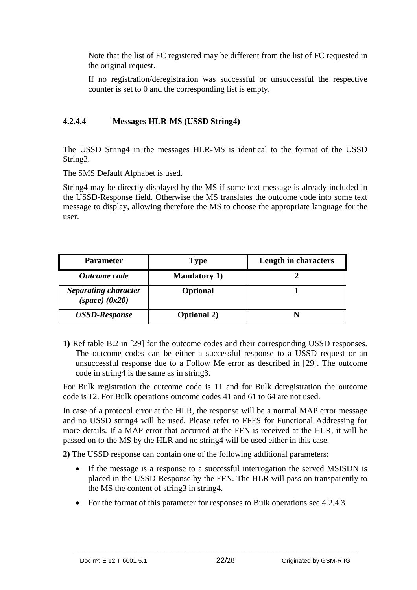Note that the list of FC registered may be different from the list of FC requested in the original request.

If no registration/deregistration was successful or unsuccessful the respective counter is set to 0 and the corresponding list is empty.

### <span id="page-21-0"></span>**4.2.4.4 Messages HLR-MS (USSD String4)**

The USSD String4 in the messages HLR-MS is identical to the format of the USSD String3.

The SMS Default Alphabet is used.

String4 may be directly displayed by the MS if some text message is already included in the USSD-Response field. Otherwise the MS translates the outcome code into some text message to display, allowing therefore the MS to choose the appropriate language for the user.

| <b>Parameter</b>                                  | Type                | Length in characters |
|---------------------------------------------------|---------------------|----------------------|
| Outcome code                                      | <b>Mandatory 1)</b> |                      |
| <b>Separating character</b><br>$(space)$ $(0x20)$ | <b>Optional</b>     |                      |
| <b>USSD-Response</b>                              | <b>Optional 2)</b>  |                      |

**1)** Ref table B.2 in [29] for the outcome codes and their corresponding USSD responses. The outcome codes can be either a successful response to a USSD request or an unsuccessful response due to a Follow Me error as described in [29]. The outcome code in string4 is the same as in string3.

For Bulk registration the outcome code is 11 and for Bulk deregistration the outcome code is 12. For Bulk operations outcome codes 41 and 61 to 64 are not used.

In case of a protocol error at the HLR, the response will be a normal MAP error message and no USSD string4 will be used. Please refer to FFFS for Functional Addressing for more details. If a MAP error that occurred at the FFN is received at the HLR, it will be passed on to the MS by the HLR and no string4 will be used either in this case.

**2)** The USSD response can contain one of the following additional parameters:

- If the message is a response to a successful interrogation the served MSISDN is placed in the USSD-Response by the FFN. The HLR will pass on transparently to the MS the content of string3 in string4.
- For the format of this parameter for responses to Bulk operations see 4.2.4.3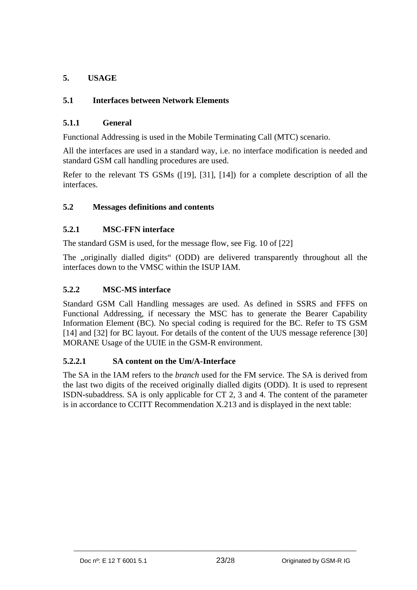### <span id="page-22-0"></span>**5. USAGE**

### <span id="page-22-1"></span>**5.1 Interfaces between Network Elements**

### <span id="page-22-2"></span>**5.1.1 General**

Functional Addressing is used in the Mobile Terminating Call (MTC) scenario.

All the interfaces are used in a standard way, i.e. no interface modification is needed and standard GSM call handling procedures are used.

Refer to the relevant TS GSMs ([19], [31], [14]) for a complete description of all the interfaces.

### <span id="page-22-3"></span>**5.2 Messages definitions and contents**

### <span id="page-22-4"></span>**5.2.1 MSC-FFN interface**

The standard GSM is used, for the message flow, see Fig. 10 of [22]

The ..originally dialled digits" (ODD) are delivered transparently throughout all the interfaces down to the VMSC within the ISUP IAM.

### <span id="page-22-5"></span>**5.2.2 MSC-MS interface**

Standard GSM Call Handling messages are used. As defined in SSRS and FFFS on Functional Addressing, if necessary the MSC has to generate the Bearer Capability Information Element (BC). No special coding is required for the BC. Refer to TS GSM [14] and [32] for BC layout. For details of the content of the UUS message reference [30] MORANE Usage of the UUIE in the GSM-R environment.

#### <span id="page-22-6"></span>**5.2.2.1 SA content on the Um/A-Interface**

The SA in the IAM refers to the *branch* used for the FM service. The SA is derived from the last two digits of the received originally dialled digits (ODD). It is used to represent ISDN-subaddress. SA is only applicable for CT 2, 3 and 4. The content of the parameter is in accordance to CCITT Recommendation X.213 and is displayed in the next table: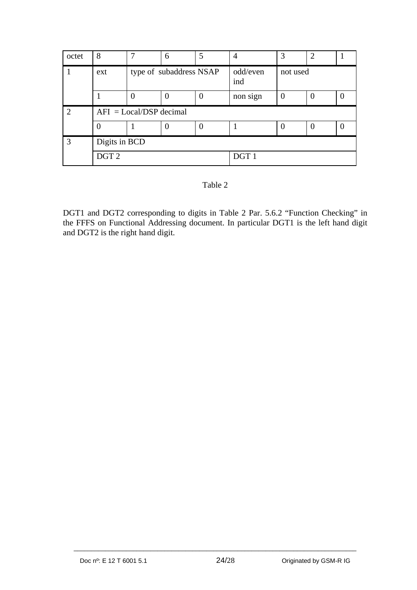| octet | 8                | ⇁                         | 6 |                  | 4        | 3  | $\overline{2}$ |  |
|-------|------------------|---------------------------|---|------------------|----------|----|----------------|--|
|       | ext              | type of subaddress NSAP   |   | odd/even<br>ind  | not used |    |                |  |
|       |                  | $\overline{0}$            | 0 | $\Omega$         | non sign |    | $\overline{0}$ |  |
| ി     |                  | $AFI = Local/DSP decimal$ |   |                  |          |    |                |  |
|       |                  |                           |   |                  |          | I) | 0              |  |
| 3     | Digits in BCD    |                           |   |                  |          |    |                |  |
|       | DGT <sub>2</sub> |                           |   | DGT <sub>1</sub> |          |    |                |  |

#### Table 2

DGT1 and DGT2 corresponding to digits in Table 2 Par. 5.6.2 "Function Checking" in the FFFS on Functional Addressing document. In particular DGT1 is the left hand digit and DGT2 is the right hand digit.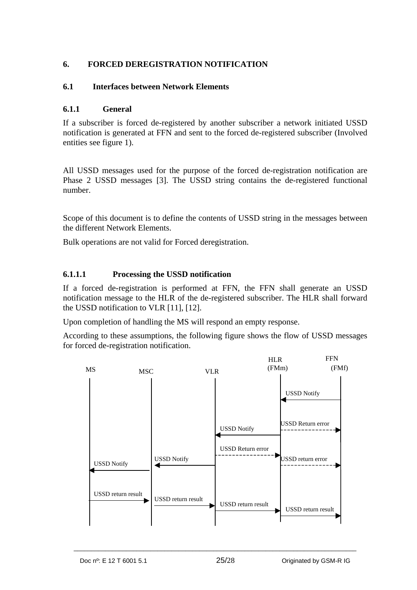### <span id="page-24-0"></span>**6. FORCED DEREGISTRATION NOTIFICATION**

### <span id="page-24-1"></span>**6.1 Interfaces between Network Elements**

### <span id="page-24-2"></span>**6.1.1 General**

If a subscriber is forced de-registered by another subscriber a network initiated USSD notification is generated at FFN and sent to the forced de-registered subscriber (Involved entities see figure 1).

All USSD messages used for the purpose of the forced de-registration notification are Phase 2 USSD messages [3]. The USSD string contains the de-registered functional number.

Scope of this document is to define the contents of USSD string in the messages between the different Network Elements.

Bulk operations are not valid for Forced deregistration.

### <span id="page-24-3"></span>**6.1.1.1 Processing the USSD notification**

If a forced de-registration is performed at FFN, the FFN shall generate an USSD notification message to the HLR of the de-registered subscriber. The HLR shall forward the USSD notification to VLR [11], [12].

Upon completion of handling the MS will respond an empty response.

According to these assumptions, the following figure shows the flow of USSD messages for forced de-registration notification.

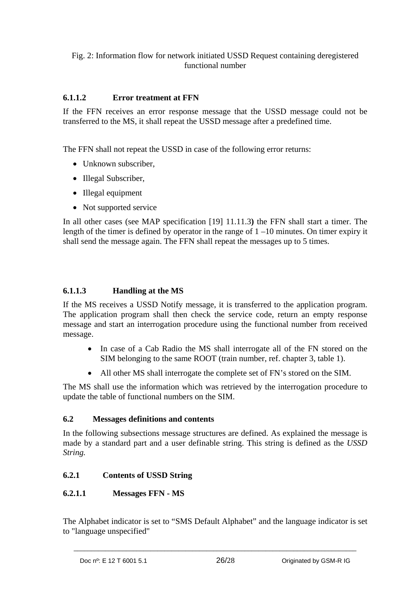#### Fig. 2: Information flow for network initiated USSD Request containing deregistered functional number

### <span id="page-25-0"></span>**6.1.1.2 Error treatment at FFN**

If the FFN receives an error response message that the USSD message could not be transferred to the MS, it shall repeat the USSD message after a predefined time.

The FFN shall not repeat the USSD in case of the following error returns:

- Unknown subscriber,
- Illegal Subscriber,
- Illegal equipment
- Not supported service

In all other cases (see MAP specification [19] 11.11.3**)** the FFN shall start a timer. The length of the timer is defined by operator in the range of 1 –10 minutes. On timer expiry it shall send the message again. The FFN shall repeat the messages up to 5 times.

### <span id="page-25-1"></span>**6.1.1.3 Handling at the MS**

If the MS receives a USSD Notify message, it is transferred to the application program. The application program shall then check the service code, return an empty response message and start an interrogation procedure using the functional number from received message.

- In case of a Cab Radio the MS shall interrogate all of the FN stored on the SIM belonging to the same ROOT (train number, ref. chapter 3, table 1).
- All other MS shall interrogate the complete set of FN's stored on the SIM.

The MS shall use the information which was retrieved by the interrogation procedure to update the table of functional numbers on the SIM.

#### <span id="page-25-2"></span>**6.2 Messages definitions and contents**

In the following subsections message structures are defined. As explained the message is made by a standard part and a user definable string. This string is defined as the *USSD String.* 

#### <span id="page-25-3"></span>**6.2.1 Contents of USSD String**

#### <span id="page-25-4"></span>**6.2.1.1 Messages FFN - MS**

The Alphabet indicator is set to "SMS Default Alphabet" and the language indicator is set to "language unspecified"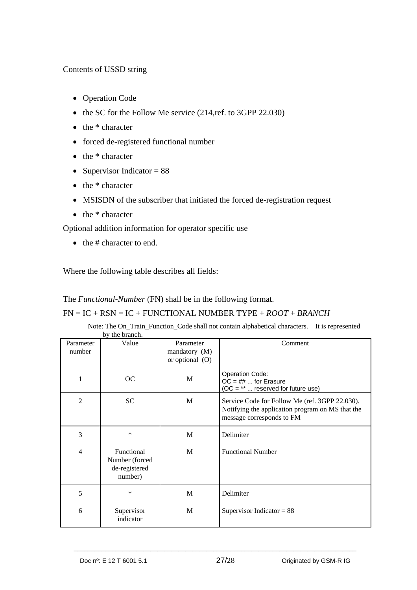### Contents of USSD string

- Operation Code
- the SC for the Follow Me service (214,ref. to 3GPP 22.030)
- $\bullet$  the  $*$  character
- forced de-registered functional number
- $\bullet$  the  $*$  character
- Supervisor Indicator  $= 88$
- $\bullet$  the  $*$  character
- MSISDN of the subscriber that initiated the forced de-registration request
- the \* character

Optional addition information for operator specific use

 $\bullet$  the # character to end.

Where the following table describes all fields:

The *Functional-Number* (FN) shall be in the following format.

#### FN = IC + RSN = IC + FUNCTIONAL NUMBER TYPE + *ROOT* + *BRANCH*

| Note: The On_Train_Function_Code shall not contain alphabetical characters. It is represented |  |
|-----------------------------------------------------------------------------------------------|--|
| by the branch.                                                                                |  |

| Parameter<br>number | Value                                                    | Parameter<br>mandatory $(M)$<br>or optional $(O)$ | Comment                                                                                                                         |
|---------------------|----------------------------------------------------------|---------------------------------------------------|---------------------------------------------------------------------------------------------------------------------------------|
| 1                   | <sub>OC</sub>                                            | M                                                 | Operation Code:<br>$OC = ## $ for Erasure<br>$(OC = ** $ reserved for future use)                                               |
| $\overline{2}$      | <b>SC</b>                                                | M                                                 | Service Code for Follow Me (ref. 3GPP 22.030).<br>Notifying the application program on MS that the<br>message corresponds to FM |
| 3                   | $\ast$                                                   | M                                                 | Delimiter                                                                                                                       |
| $\overline{4}$      | Functional<br>Number (forced<br>de-registered<br>number) | M                                                 | <b>Functional Number</b>                                                                                                        |
| 5                   | *                                                        | M                                                 | Delimiter                                                                                                                       |
| 6                   | Supervisor<br>indicator                                  | M                                                 | Supervisor Indicator = $88$                                                                                                     |